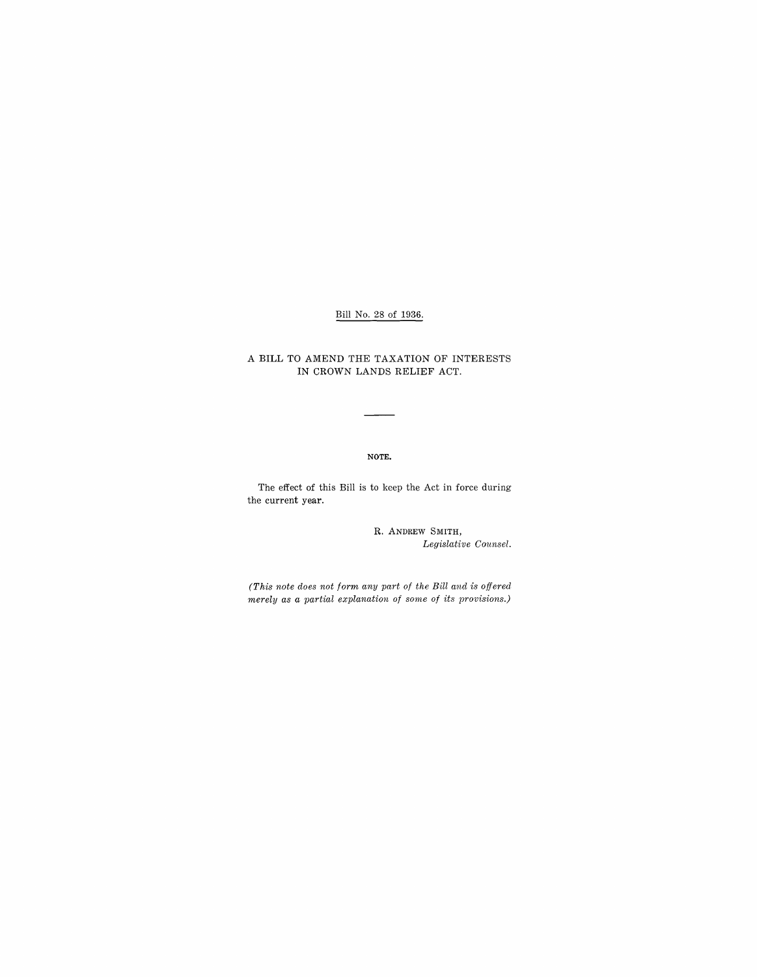# Bill No. 28 of 1936.

#### A BILL TO AMEND THE TAXATION OF INTERESTS IN CROWN LANDS RELIEF ACT.

#### NOTE.

The effect of this Bill is to keep the Act in force during the current year.

> R. ANDREW SMITH, *Legislative Counsel.*

*(This note does not form any part of the Bill and is offered merely as a partial explanation of some of its provisions.)*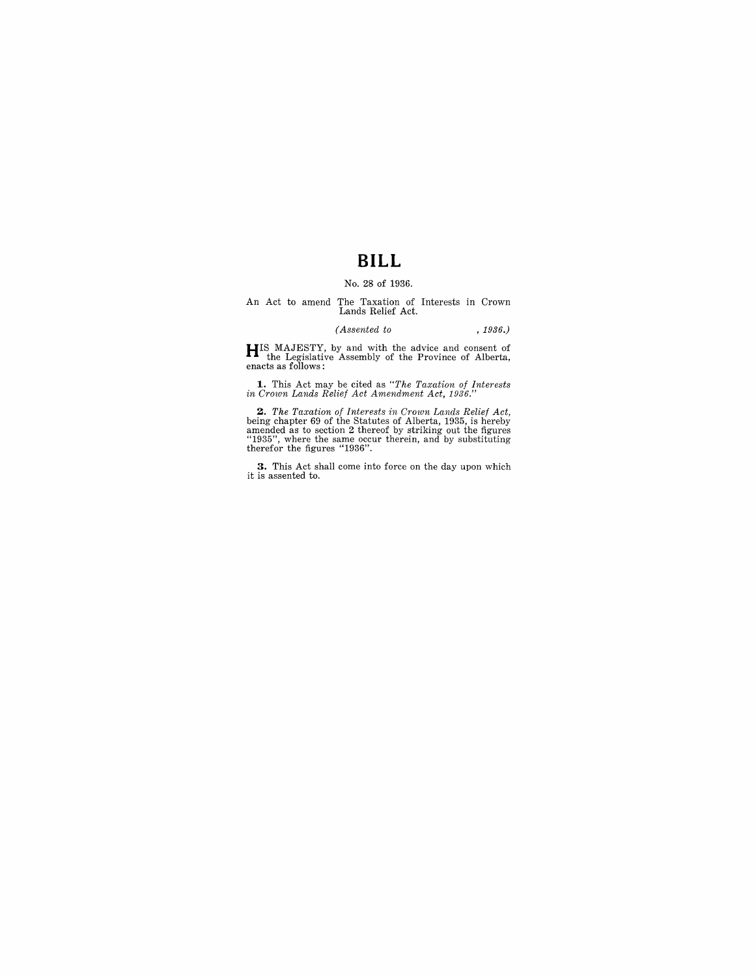# **BILL**

#### No. 28 of 1936.

# An Act to amend The Taxation of Interests in Crown Lands Relief Act.

#### *(Assented to* , 1936.)

**HI**S MAJESTY, by and with the advice and consent of the Legislative Assembly of the Province of Alberta, enacts as follows:

**1.** This Act may be cited as *"The Taxation of Interests in Crown Lands Relief Act Amendment Act, 1936."* 

**2.** The Taxation of Interests in Crown Lands Relief Act, being chapter 69 of the Statutes of Alberta, 1935, is hereby amended as to section 2 thereof by striking out the figures "1935", where the same occur therein, and

**3.** This Act shall come into force on the day upon which it is assented to.